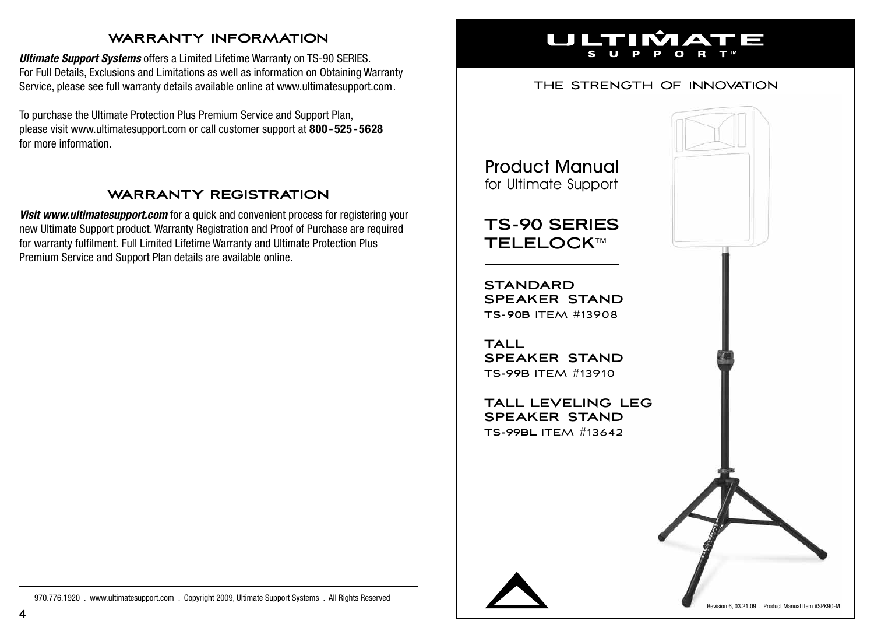### **warranty information**

*Ultimate Support Systems* offers a Limited Lifetime Warranty on TS-90 SERIES. For Full Details, Exclusions and Limitations as well as information on Obtaining Warranty Service, please see full warranty details available online at www.ultimatesupport.com.

To purchase the Ultimate Protection Plus Premium Service and Support Plan, please visit www.ultimatesupport.com or call customer support at **800 - 525 -5628** for more information.

### **warranty registration**

**Visit www.ultimatesupport.com** for a quick and convenient process for registering your new Ultimate Support product. Warranty Registration and Proof of Purchase are required for warranty fulfilment. Full Limited Lifetime Warranty and Ultimate Protection Plus Premium Service and Support Plan details are available online.